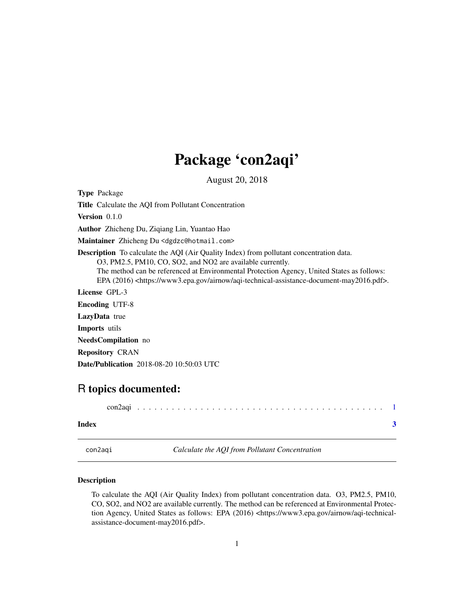## Package 'con2aqi'

August 20, 2018

<span id="page-0-0"></span>Type Package

Title Calculate the AQI from Pollutant Concentration

Version 0.1.0

Author Zhicheng Du, Ziqiang Lin, Yuantao Hao

Maintainer Zhicheng Du <dgdzc@hotmail.com>

Description To calculate the AQI (Air Quality Index) from pollutant concentration data.

O3, PM2.5, PM10, CO, SO2, and NO2 are available currently.

The method can be referenced at Environmental Protection Agency, United States as follows: EPA (2016) <https://www3.epa.gov/airnow/aqi-technical-assistance-document-may2016.pdf>.

License GPL-3

Encoding UTF-8 LazyData true

Imports utils

NeedsCompilation no

Repository CRAN

Date/Publication 2018-08-20 10:50:03 UTC

### R topics documented:

| Index |  |  |  |  |  |  |  |  |  |  |  |  |  |  |  |  |  |  |
|-------|--|--|--|--|--|--|--|--|--|--|--|--|--|--|--|--|--|--|

con2aqi *Calculate the AQI from Pollutant Concentration*

#### Description

To calculate the AQI (Air Quality Index) from pollutant concentration data. O3, PM2.5, PM10, CO, SO2, and NO2 are available currently. The method can be referenced at Environmental Protection Agency, United States as follows: EPA (2016) <https://www3.epa.gov/airnow/aqi-technicalassistance-document-may2016.pdf>.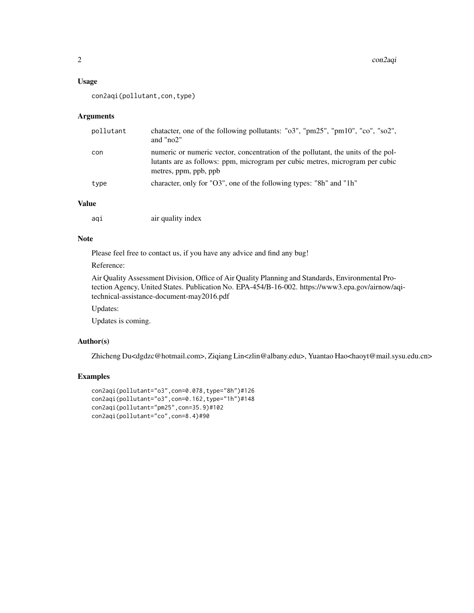#### Usage

```
con2aqi(pollutant,con,type)
```
#### Arguments

| pollutant | chatacter, one of the following pollutants: "o3", "pm25", "pm10", "co", "so2",<br>and " $no2$ "                                                                                           |
|-----------|-------------------------------------------------------------------------------------------------------------------------------------------------------------------------------------------|
| con       | numeric or numeric vector, concentration of the pollutant, the units of the pol-<br>lutants are as follows: ppm, microgram per cubic metres, microgram per cubic<br>metres, ppm, ppb, ppb |
| type      | character, only for "O3", one of the following types: "8h" and "1h"                                                                                                                       |

#### Value

| aqı | air quality index |  |
|-----|-------------------|--|
|     |                   |  |

#### Note

Please feel free to contact us, if you have any advice and find any bug!

#### Reference:

Air Quality Assessment Division, Office of Air Quality Planning and Standards, Environmental Protection Agency, United States. Publication No. EPA-454/B-16-002. https://www3.epa.gov/airnow/aqitechnical-assistance-document-may2016.pdf

Updates:

Updates is coming.

#### Author(s)

Zhicheng Du<dgdzc@hotmail.com>, Ziqiang Lin<zlin@albany.edu>, Yuantao Hao<haoyt@mail.sysu.edu.cn>

#### Examples

```
con2aqi(pollutant="o3",con=0.078,type="8h")#126
con2aqi(pollutant="o3",con=0.162,type="1h")#148
con2aqi(pollutant="pm25",con=35.9)#102
con2aqi(pollutant="co",con=8.4)#90
```